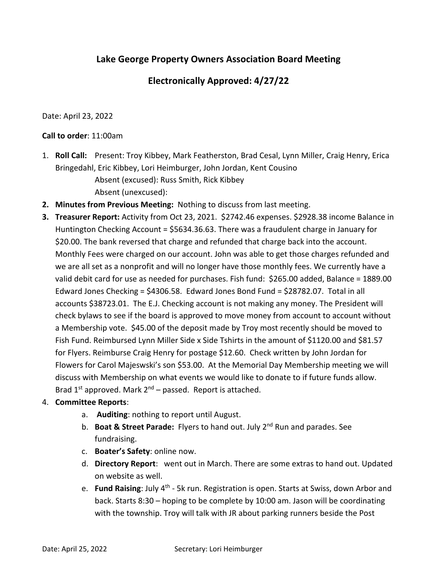## **Lake George Property Owners Association Board Meeting**

## **Electronically Approved: 4/27/22**

Date: April 23, 2022

## **Call to order**: 11:00am

1. **Roll Call:** Present: Troy Kibbey, Mark Featherston, Brad Cesal, Lynn Miller, Craig Henry, Erica Bringedahl, Eric Kibbey, Lori Heimburger, John Jordan, Kent Cousino Absent (excused): Russ Smith, Rick Kibbey

Absent (unexcused):

- **2. Minutes from Previous Meeting:** Nothing to discuss from last meeting.
- **3. Treasurer Report:** Activity from Oct 23, 2021. \$2742.46 expenses. \$2928.38 income Balance in Huntington Checking Account = \$5634.36.63. There was a fraudulent charge in January for \$20.00. The bank reversed that charge and refunded that charge back into the account. Monthly Fees were charged on our account. John was able to get those charges refunded and we are all set as a nonprofit and will no longer have those monthly fees. We currently have a valid debit card for use as needed for purchases. Fish fund: \$265.00 added, Balance = 1889.00 Edward Jones Checking = \$4306.58. Edward Jones Bond Fund = \$28782.07. Total in all accounts \$38723.01. The E.J. Checking account is not making any money. The President will check bylaws to see if the board is approved to move money from account to account without a Membership vote. \$45.00 of the deposit made by Troy most recently should be moved to Fish Fund. Reimbursed Lynn Miller Side x Side Tshirts in the amount of \$1120.00 and \$81.57 for Flyers. Reimburse Craig Henry for postage \$12.60. Check written by John Jordan for Flowers for Carol Majeswski's son \$53.00. At the Memorial Day Membership meeting we will discuss with Membership on what events we would like to donate to if future funds allow. Brad  $1^{st}$  approved. Mark  $2^{nd}$  – passed. Report is attached.

## 4. **Committee Reports**:

- a. **Auditing**: nothing to report until August.
- b. **Boat & Street Parade:** Flyers to hand out. July 2nd Run and parades. See fundraising.
- c. **Boater's Safety**: online now.
- d. **Directory Report**: went out in March. There are some extras to hand out. Updated on website as well.
- e. **Fund Raising**: July 4th ‐ 5k run. Registration is open. Starts at Swiss, down Arbor and back. Starts 8:30 – hoping to be complete by 10:00 am. Jason will be coordinating with the township. Troy will talk with JR about parking runners beside the Post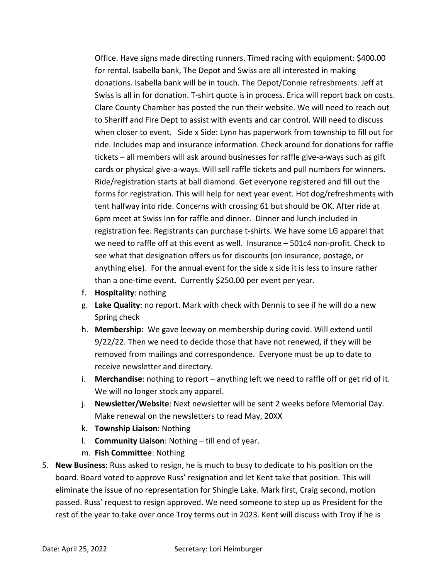Office. Have signs made directing runners. Timed racing with equipment: \$400.00 for rental. Isabella bank, The Depot and Swiss are all interested in making donations. Isabella bank will be in touch. The Depot/Connie refreshments. Jeff at Swiss is all in for donation. T‐shirt quote is in process. Erica will report back on costs. Clare County Chamber has posted the run their website. We will need to reach out to Sheriff and Fire Dept to assist with events and car control. Will need to discuss when closer to event. Side x Side: Lynn has paperwork from township to fill out for ride. Includes map and insurance information. Check around for donations for raffle tickets – all members will ask around businesses for raffle give‐a‐ways such as gift cards or physical give‐a‐ways. Will sell raffle tickets and pull numbers for winners. Ride/registration starts at ball diamond. Get everyone registered and fill out the forms for registration. This will help for next year event. Hot dog/refreshments with tent halfway into ride. Concerns with crossing 61 but should be OK. After ride at 6pm meet at Swiss Inn for raffle and dinner. Dinner and lunch included in registration fee. Registrants can purchase t‐shirts. We have some LG apparel that we need to raffle off at this event as well. Insurance – 501c4 non-profit. Check to see what that designation offers us for discounts (on insurance, postage, or anything else). For the annual event for the side x side it is less to insure rather than a one‐time event. Currently \$250.00 per event per year.

- f. **Hospitality**: nothing
- g. **Lake Quality**: no report. Mark with check with Dennis to see if he will do a new Spring check
- h. **Membership**: We gave leeway on membership during covid. Will extend until 9/22/22. Then we need to decide those that have not renewed, if they will be removed from mailings and correspondence. Everyone must be up to date to receive newsletter and directory.
- i. **Merchandise**: nothing to report anything left we need to raffle off or get rid of it. We will no longer stock any apparel.
- j. **Newsletter/Website**: Next newsletter will be sent 2 weeks before Memorial Day. Make renewal on the newsletters to read May, 20XX
- k. **Township Liaison**: Nothing
- l. **Community Liaison**: Nothing till end of year.
- m. **Fish Committee**: Nothing
- 5. **New Business:** Russ asked to resign, he is much to busy to dedicate to his position on the board. Board voted to approve Russ' resignation and let Kent take that position. This will eliminate the issue of no representation for Shingle Lake. Mark first, Craig second, motion passed. Russ' request to resign approved. We need someone to step up as President for the rest of the year to take over once Troy terms out in 2023. Kent will discuss with Troy if he is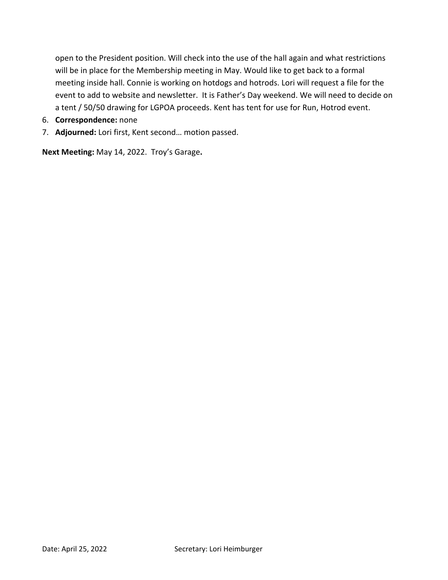open to the President position. Will check into the use of the hall again and what restrictions will be in place for the Membership meeting in May. Would like to get back to a formal meeting inside hall. Connie is working on hotdogs and hotrods. Lori will request a file for the event to add to website and newsletter. It is Father's Day weekend. We will need to decide on a tent / 50/50 drawing for LGPOA proceeds. Kent has tent for use for Run, Hotrod event.

- 6. **Correspondence:** none
- 7. **Adjourned:** Lori first, Kent second… motion passed.

**Next Meeting:** May 14, 2022. Troy's Garage**.**